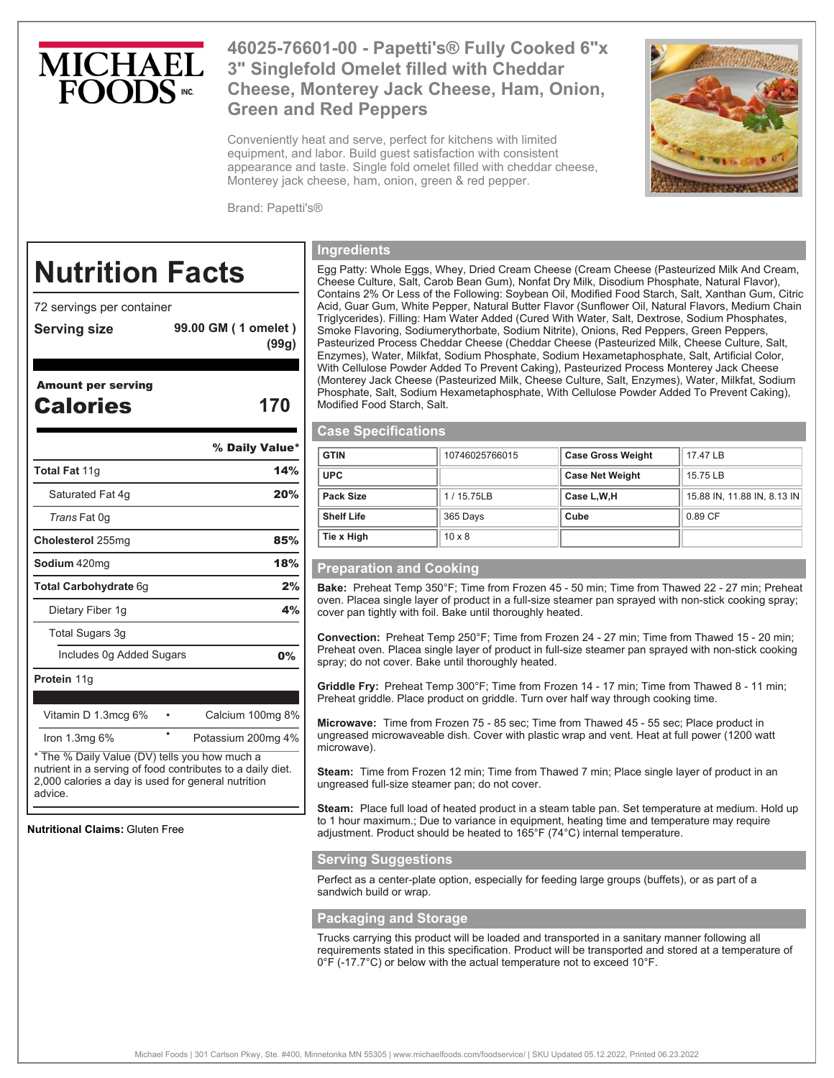# **MICHAE**

## **46025-76601-00 - Papetti's® Fully Cooked 6"x 3" Singlefold Omelet filled with Cheddar Cheese, Monterey Jack Cheese, Ham, Onion, Green and Red Peppers**

Conveniently heat and serve, perfect for kitchens with limited equipment, and labor. Build guest satisfaction with consistent appearance and taste. Single fold omelet filled with cheddar cheese, Monterey jack cheese, ham, onion, green & red pepper.



Brand: Papetti's®

# **Nutrition Facts**

72 servings per container

**Serving size 99.00 GM ( 1 omelet )**

#### Amount per serving

- Calories **170**
- 

**(99g)** 

|                                                                                                            | % Daily Value*     |  |
|------------------------------------------------------------------------------------------------------------|--------------------|--|
| <b>Total Fat 11g</b>                                                                                       | 14%                |  |
| Saturated Fat 4g                                                                                           | 20%                |  |
| <i>Trans</i> Fat 0g                                                                                        |                    |  |
| Cholesterol 255mg                                                                                          | 85%                |  |
| <b>Sodium</b> 420mg                                                                                        | 18%                |  |
| <b>Total Carbohydrate 6g</b>                                                                               | 2%                 |  |
| Dietary Fiber 1g                                                                                           | 4%                 |  |
| Total Sugars 3g                                                                                            |                    |  |
| Includes 0g Added Sugars                                                                                   | $0\%$              |  |
| Protein 11g                                                                                                |                    |  |
|                                                                                                            |                    |  |
| Vitamin D 1.3mcg 6%                                                                                        | Calcium 100mg 8%   |  |
| Iron $1.3mg$ 6%                                                                                            | Potassium 200mg 4% |  |
| * The % Daily Value (DV) tells you how much a<br>nutrient in a serving of food contributes to a daily diet |                    |  |

nutrient in a serving of food contributes to a daily diet. 2,000 calories a day is used for general nutrition advice.

**Nutritional Claims:** Gluten Free

#### **Ingredients**

Egg Patty: Whole Eggs, Whey, Dried Cream Cheese (Cream Cheese (Pasteurized Milk And Cream, Cheese Culture, Salt, Carob Bean Gum), Nonfat Dry Milk, Disodium Phosphate, Natural Flavor), Contains 2% Or Less of the Following: Soybean Oil, Modified Food Starch, Salt, Xanthan Gum, Citric Acid, Guar Gum, White Pepper, Natural Butter Flavor (Sunflower Oil, Natural Flavors, Medium Chain Triglycerides). Filling: Ham Water Added (Cured With Water, Salt, Dextrose, Sodium Phosphates, Smoke Flavoring, Sodiumerythorbate, Sodium Nitrite), Onions, Red Peppers, Green Peppers, Pasteurized Process Cheddar Cheese (Cheddar Cheese (Pasteurized Milk, Cheese Culture, Salt, Enzymes), Water, Milkfat, Sodium Phosphate, Sodium Hexametaphosphate, Salt, Artificial Color, With Cellulose Powder Added To Prevent Caking), Pasteurized Process Monterey Jack Cheese (Monterey Jack Cheese (Pasteurized Milk, Cheese Culture, Salt, Enzymes), Water, Milkfat, Sodium Phosphate, Salt, Sodium Hexametaphosphate, With Cellulose Powder Added To Prevent Caking), Modified Food Starch, Salt.

#### **Case Specifications**

| <b>GTIN</b>       | 10746025766015 | <b>Case Gross Weight</b> | 17.47 LB                    |
|-------------------|----------------|--------------------------|-----------------------------|
| <b>UPC</b>        |                | <b>Case Net Weight</b>   | 15.75 LB                    |
| Pack Size         | 1/15.75LB      | Case L,W,H               | 15.88 IN, 11.88 IN, 8.13 IN |
| <b>Shelf Life</b> | 365 Days       | Cube                     | 0.89 CF                     |
| Tie x High        | $10 \times 8$  |                          |                             |

#### **Preparation and Cooking**

**Bake:** Preheat Temp 350°F; Time from Frozen 45 - 50 min; Time from Thawed 22 - 27 min; Preheat oven. Placea single layer of product in a full-size steamer pan sprayed with non-stick cooking spray; cover pan tightly with foil. Bake until thoroughly heated.

**Convection:** Preheat Temp 250°F; Time from Frozen 24 - 27 min; Time from Thawed 15 - 20 min; Preheat oven. Placea single layer of product in full-size steamer pan sprayed with non-stick cooking spray; do not cover. Bake until thoroughly heated.

**Griddle Fry:** Preheat Temp 300°F; Time from Frozen 14 - 17 min; Time from Thawed 8 - 11 min; Preheat griddle. Place product on griddle. Turn over half way through cooking time.

**Microwave:** Time from Frozen 75 - 85 sec; Time from Thawed 45 - 55 sec; Place product in ungreased microwaveable dish. Cover with plastic wrap and vent. Heat at full power (1200 watt microwave).

**Steam:** Time from Frozen 12 min; Time from Thawed 7 min; Place single layer of product in an ungreased full-size steamer pan; do not cover.

**Steam:** Place full load of heated product in a steam table pan. Set temperature at medium. Hold up to 1 hour maximum.; Due to variance in equipment, heating time and temperature may require adjustment. Product should be heated to 165°F (74°C) internal temperature.

#### **Serving Suggestions**

Perfect as a center-plate option, especially for feeding large groups (buffets), or as part of a sandwich build or wrap.

#### **Packaging and Storage**

Trucks carrying this product will be loaded and transported in a sanitary manner following all requirements stated in this specification. Product will be transported and stored at a temperature of 0°F (-17.7°C) or below with the actual temperature not to exceed 10°F.